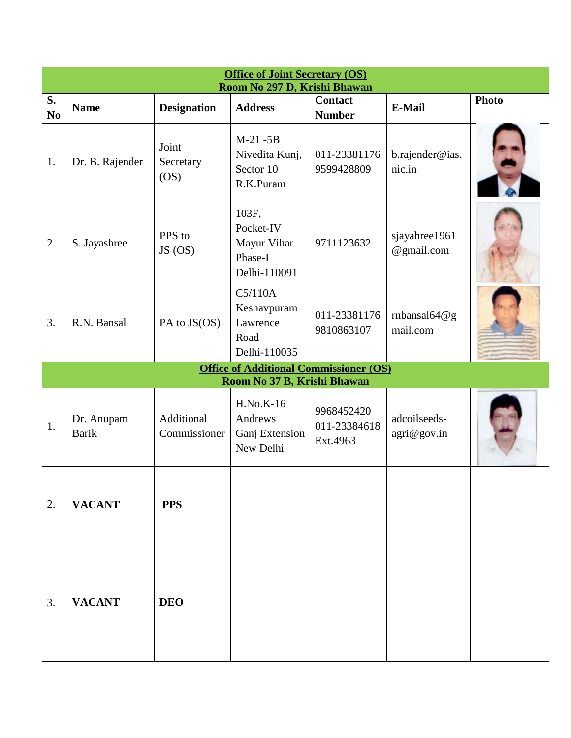|                      | <b>Office of Joint Secretary (OS)</b><br>Room No 297 D, Krishi Bhawan |                            |                                                                              |                                        |                             |              |  |  |
|----------------------|-----------------------------------------------------------------------|----------------------------|------------------------------------------------------------------------------|----------------------------------------|-----------------------------|--------------|--|--|
| S.<br>N <sub>0</sub> | <b>Name</b>                                                           | <b>Designation</b>         | <b>Address</b>                                                               | <b>Contact</b><br><b>Number</b>        | <b>E-Mail</b>               | <b>Photo</b> |  |  |
| 1.                   | Dr. B. Rajender                                                       | Joint<br>Secretary<br>OS)  | $M-21 - 5B$<br>Nivedita Kunj,<br>Sector 10<br>R.K.Puram                      | 011-23381176<br>9599428809             | b.rajender@ias.<br>nic.in   |              |  |  |
| 2.                   | S. Jayashree                                                          | PPS to<br>$JS$ (OS)        | 103F,<br>Pocket-IV<br>Mayur Vihar<br>Phase-I<br>Delhi-110091                 | 9711123632                             | sjayahree1961<br>@gmail.com |              |  |  |
| 3.                   | R.N. Bansal                                                           | PA to JS(OS)               | C5/110A<br>Keshavpuram<br>Lawrence<br>Road<br>Delhi-110035                   | 011-23381176<br>9810863107             | rnbansal $64@g$<br>mail.com |              |  |  |
|                      |                                                                       |                            | <b>Office of Additional Commissioner (OS)</b><br>Room No 37 B, Krishi Bhawan |                                        |                             |              |  |  |
| 1.                   | Dr. Anupam<br><b>Barik</b>                                            | Additional<br>Commissioner | <b>H.No.K-16</b><br>Andrews<br>Ganj Extension<br>New Delhi                   | 9968452420<br>011-23384618<br>Ext.4963 | adcoilseeds-<br>agri@gov.in |              |  |  |
| 2.                   | <b>VACANT</b>                                                         | <b>PPS</b>                 |                                                                              |                                        |                             |              |  |  |
| $\overline{3}$ .     | <b>VACANT</b>                                                         | <b>DEO</b>                 |                                                                              |                                        |                             |              |  |  |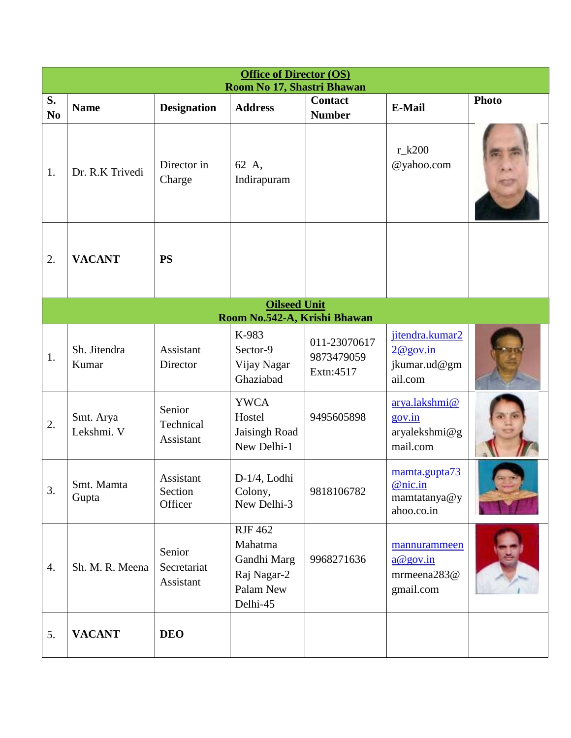|                      | <b>Office of Director (OS)</b><br>Room No 17, Shastri Bhawan |                                    |                                                                                  |                                         |                                                        |              |  |
|----------------------|--------------------------------------------------------------|------------------------------------|----------------------------------------------------------------------------------|-----------------------------------------|--------------------------------------------------------|--------------|--|
| S.<br>N <sub>o</sub> | <b>Name</b>                                                  | <b>Designation</b>                 | <b>Address</b>                                                                   | <b>Contact</b><br><b>Number</b>         | <b>E-Mail</b>                                          | <b>Photo</b> |  |
| 1.                   | Dr. R.K Trivedi                                              | Director in<br>Charge              | 62 A,<br>Indirapuram                                                             |                                         | $r_k200$<br>@yahoo.com                                 |              |  |
| 2.                   | <b>VACANT</b>                                                | <b>PS</b>                          |                                                                                  |                                         |                                                        |              |  |
|                      |                                                              |                                    | <b>Oilseed Unit</b><br>Room No.542-A, Krishi Bhawan                              |                                         |                                                        |              |  |
| 1.                   | Sh. Jitendra<br>Kumar                                        | Assistant<br>Director              | K-983<br>Sector-9<br>Vijay Nagar<br>Ghaziabad                                    | 011-23070617<br>9873479059<br>Extn:4517 | jitendra.kumar2<br>2@gov.in<br>jkumar.ud@gm<br>ail.com |              |  |
| 2.                   | Smt. Arya<br>Lekshmi. V                                      | Senior<br>Technical<br>Assistant   | <b>YWCA</b><br>Hostel<br>Jaisingh Road<br>New Delhi-1                            | 9495605898                              | arya.lakshmi@<br>gov.in<br>aryalekshmi@g<br>mail.com   |              |  |
| 3.                   | Smt. Mamta<br>Gupta                                          | Assistant<br>Section<br>Officer    | $D-1/4$ . Lodhi<br>Colony,<br>New Delhi-3                                        | 9818106782                              | mamta.gupta73<br>@nic.in<br>mamtatanya@y<br>ahoo.co.in |              |  |
| 4.                   | Sh. M. R. Meena                                              | Senior<br>Secretariat<br>Assistant | <b>RJF 462</b><br>Mahatma<br>Gandhi Marg<br>Raj Nagar-2<br>Palam New<br>Delhi-45 | 9968271636                              | mannurammeen<br>a@gov.in<br>mrmeena283@<br>gmail.com   |              |  |
| 5.                   | <b>VACANT</b>                                                | <b>DEO</b>                         |                                                                                  |                                         |                                                        |              |  |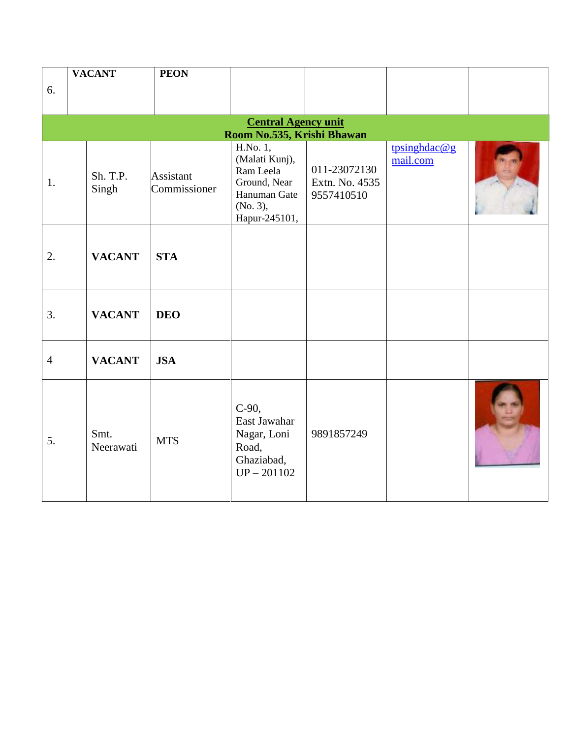|                | <b>VACANT</b>     | <b>PEON</b>               |                                                                                          |                                              |                          |  |
|----------------|-------------------|---------------------------|------------------------------------------------------------------------------------------|----------------------------------------------|--------------------------|--|
| 6.             |                   |                           |                                                                                          |                                              |                          |  |
|                |                   |                           |                                                                                          |                                              |                          |  |
|                |                   |                           | <b>Central Agency unit</b>                                                               |                                              |                          |  |
|                |                   |                           | Room No.535, Krishi Bhawan<br>H.No. 1,                                                   |                                              |                          |  |
| 1.             | Sh. T.P.<br>Singh | Assistant<br>Commissioner | (Malati Kunj),<br>Ram Leela<br>Ground, Near<br>Hanuman Gate<br>(No. 3),<br>Hapur-245101, | 011-23072130<br>Extn. No. 4535<br>9557410510 | tpsinghdac@g<br>mail.com |  |
| 2.             | <b>VACANT</b>     | <b>STA</b>                |                                                                                          |                                              |                          |  |
| 3.             | <b>VACANT</b>     | <b>DEO</b>                |                                                                                          |                                              |                          |  |
| $\overline{4}$ | <b>VACANT</b>     | <b>JSA</b>                |                                                                                          |                                              |                          |  |
| 5.             | Smt.<br>Neerawati | <b>MTS</b>                | $C-90$ ,<br>East Jawahar<br>Nagar, Loni<br>Road,<br>Ghaziabad,<br>$UP - 201102$          | 9891857249                                   |                          |  |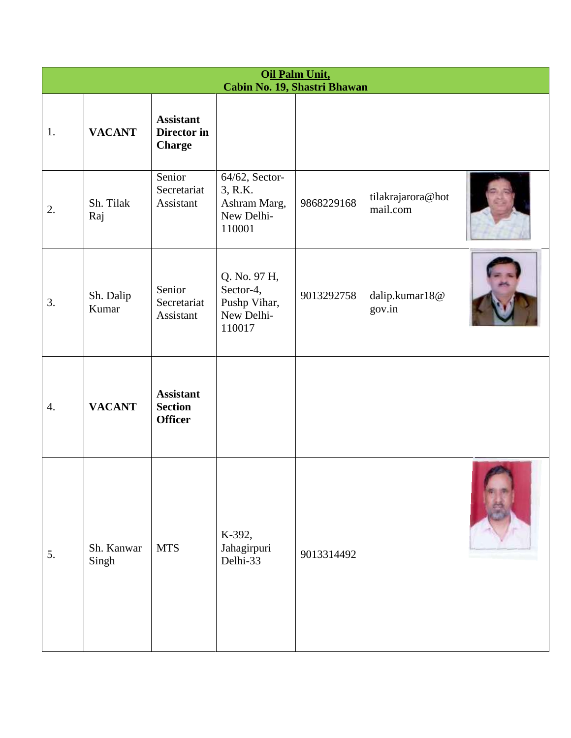|    | Oil Palm Unit,<br>Cabin No. 19, Shastri Bhawan |                                                      |                                                                   |            |                               |  |  |  |
|----|------------------------------------------------|------------------------------------------------------|-------------------------------------------------------------------|------------|-------------------------------|--|--|--|
| 1. | <b>VACANT</b>                                  | <b>Assistant</b><br>Director in<br><b>Charge</b>     |                                                                   |            |                               |  |  |  |
| 2. | Sh. Tilak<br>Raj                               | Senior<br>Secretariat<br>Assistant                   | 64/62, Sector-<br>3, R.K.<br>Ashram Marg,<br>New Delhi-<br>110001 | 9868229168 | tilakrajarora@hot<br>mail.com |  |  |  |
| 3. | Sh. Dalip<br>Kumar                             | Senior<br>Secretariat<br>Assistant                   | Q. No. 97 H,<br>Sector-4,<br>Pushp Vihar,<br>New Delhi-<br>110017 | 9013292758 | dalip.kumar18@<br>gov.in      |  |  |  |
| 4. | <b>VACANT</b>                                  | <b>Assistant</b><br><b>Section</b><br><b>Officer</b> |                                                                   |            |                               |  |  |  |
| 5. | Sh. Kanwar<br>Singh                            | <b>MTS</b>                                           | K-392,<br>Jahagirpuri<br>Delhi-33                                 | 9013314492 |                               |  |  |  |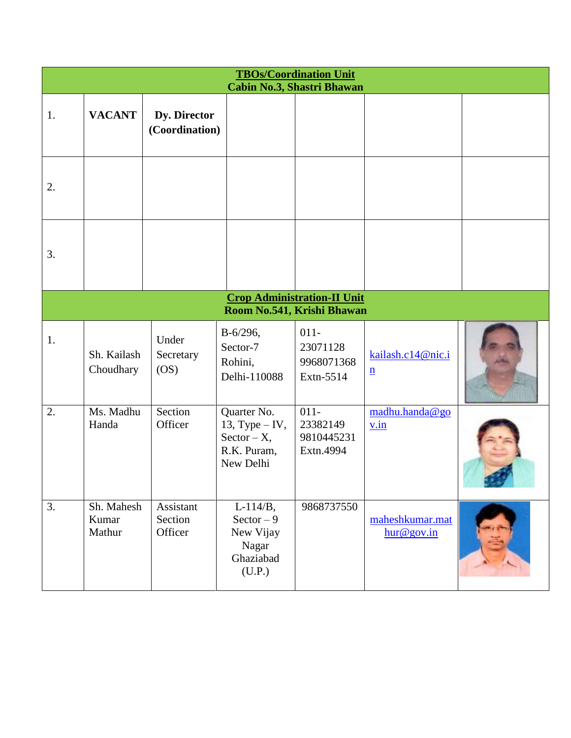|    | <b>TBOs/Coordination Unit</b>                                    |                                 |                                                                               |                                                |                                      |  |  |  |
|----|------------------------------------------------------------------|---------------------------------|-------------------------------------------------------------------------------|------------------------------------------------|--------------------------------------|--|--|--|
|    |                                                                  |                                 |                                                                               | Cabin No.3, Shastri Bhawan                     |                                      |  |  |  |
| 1. | <b>VACANT</b>                                                    | Dy. Director<br>(Coordination)  |                                                                               |                                                |                                      |  |  |  |
| 2. |                                                                  |                                 |                                                                               |                                                |                                      |  |  |  |
| 3. |                                                                  |                                 |                                                                               |                                                |                                      |  |  |  |
|    | <b>Crop Administration-II Unit</b><br>Room No.541, Krishi Bhawan |                                 |                                                                               |                                                |                                      |  |  |  |
| 1. | Sh. Kailash<br>Choudhary                                         | Under<br>Secretary<br>OS)       | $B-6/296,$<br>Sector-7<br>Rohini,<br>Delhi-110088                             | $011 -$<br>23071128<br>9968071368<br>Extn-5514 | kailash.c14@nic.i<br>$\underline{n}$ |  |  |  |
| 2. | Ms. Madhu<br>Handa                                               | Section<br>Officer              | Quarter No.<br>13, Type $-$ IV,<br>$Sector - X$ ,<br>R.K. Puram,<br>New Delhi | $011 -$<br>23382149<br>9810445231<br>Extn.4994 | madhu.handa@go<br>v.in               |  |  |  |
| 3. | Sh. Mahesh<br>Kumar<br>Mathur                                    | Assistant<br>Section<br>Officer | $L-114/B,$<br>$Sector - 9$<br>New Vijay<br>Nagar<br>Ghaziabad<br>(U.P.)       | 9868737550                                     | maheshkumar.mat<br>hur@gov.in        |  |  |  |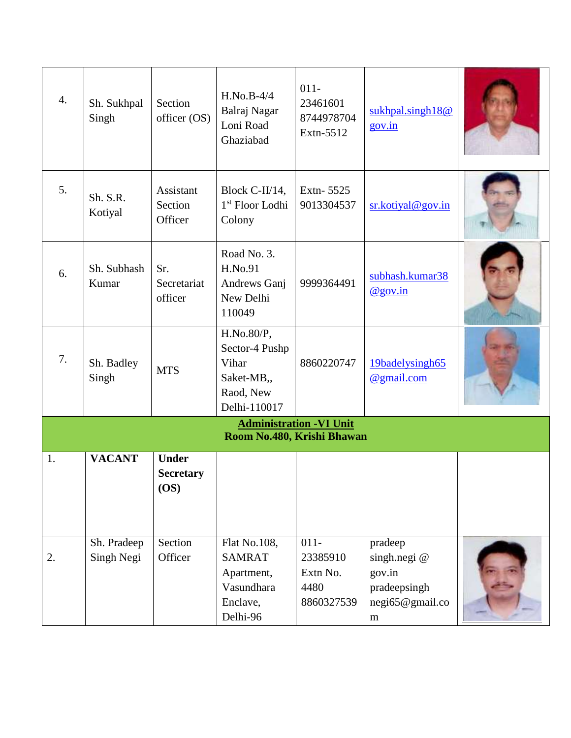| 4. | Sh. Sukhpal<br>Singh      | Section<br>officer (OS)                 | $H.No.B-4/4$<br>Balraj Nagar<br>Loni Road<br>Ghaziabad                            | $011 -$<br>23461601<br>8744978704<br>Extn-5512        | sukhpal.singh18@<br>gov.in                                                       |  |
|----|---------------------------|-----------------------------------------|-----------------------------------------------------------------------------------|-------------------------------------------------------|----------------------------------------------------------------------------------|--|
| 5. | Sh. S.R.<br>Kotiyal       | Assistant<br>Section<br>Officer         | Block C-II/14,<br>1 <sup>st</sup> Floor Lodhi<br>Colony                           | Extn-5525<br>9013304537                               | sr.kotiyal@gov.in                                                                |  |
| 6. | Sh. Subhash<br>Kumar      | Sr.<br>Secretariat<br>officer           | Road No. 3.<br>H.No.91<br>Andrews Ganj<br>New Delhi<br>110049                     | 9999364491                                            | subhash.kumar38<br>$@$ gov.in                                                    |  |
| 7. | Sh. Badley<br>Singh       | <b>MTS</b>                              | H.No.80/P,<br>Sector-4 Pushp<br>Vihar<br>Saket-MB,,<br>Raod, New<br>Delhi-110017  | 8860220747                                            | 19badelysingh65<br>@gmail.com                                                    |  |
|    |                           |                                         | Room No.480, Krishi Bhawan                                                        | <b>Administration - VI Unit</b>                       |                                                                                  |  |
| 1. | <b>VACANT</b>             | <b>Under</b><br><b>Secretary</b><br>OS) |                                                                                   |                                                       |                                                                                  |  |
| 2. | Sh. Pradeep<br>Singh Negi | Section<br>Officer                      | Flat No.108,<br><b>SAMRAT</b><br>Apartment,<br>Vasundhara<br>Enclave,<br>Delhi-96 | $011 -$<br>23385910<br>Extn No.<br>4480<br>8860327539 | pradeep<br>singh.negi@<br>gov.in<br>pradeepsingh<br>negi65@gmail.co<br>${\bf m}$ |  |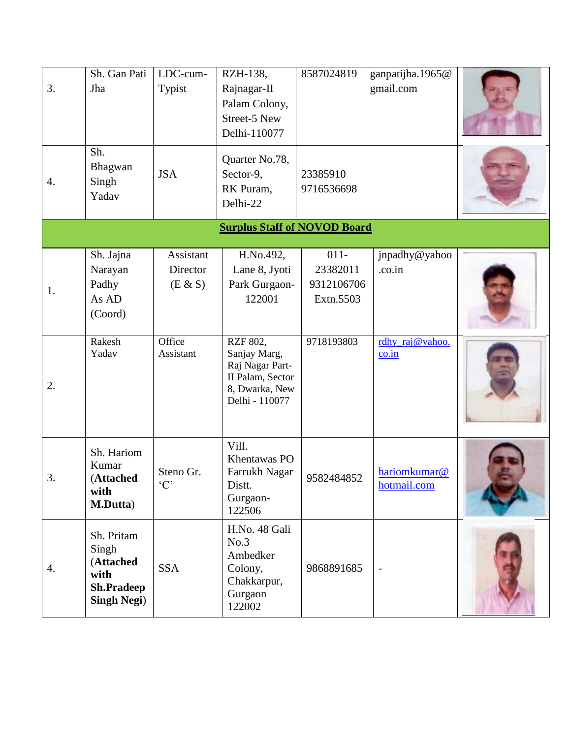| 3. | Sh. Gan Pati<br>Jha<br>Sh.<br>Bhagwan                                               | LDC-cum-<br>Typist                                      | RZH-138,<br>Rajnagar-II<br>Palam Colony,<br>Street-5 New<br>Delhi-110077<br>Quarter No.78, | 8587024819                                                   | ganpatijha.1965@<br>gmail.com                                           |  |
|----|-------------------------------------------------------------------------------------|---------------------------------------------------------|--------------------------------------------------------------------------------------------|--------------------------------------------------------------|-------------------------------------------------------------------------|--|
| 4. | Singh<br>Yadav                                                                      | <b>JSA</b>                                              | Sector-9,<br>RK Puram,<br>Delhi-22                                                         | 23385910<br>9716536698                                       |                                                                         |  |
|    |                                                                                     |                                                         | <b>Surplus Staff of NOVOD Board</b>                                                        |                                                              |                                                                         |  |
| 1. | Sh. Jajna<br>Narayan<br>Padhy<br>As AD<br>(Coord)<br>Rakesh<br>Yadav                | Assistant<br>Director<br>(E & S)<br>Office<br>Assistant | H.No.492,<br>Lane 8, Jyoti<br>Park Gurgaon-<br>122001<br>RZF 802,<br>Sanjay Marg,          | $011 -$<br>23382011<br>9312106706<br>Extn.5503<br>9718193803 | jnpadhy@yahoo<br>.co.in<br>rdhy_raj@yahoo.<br>$\overline{\text{co.in}}$ |  |
| 2. |                                                                                     |                                                         | Raj Nagar Part-<br>II Palam, Sector<br>8, Dwarka, New<br>Delhi - 110077                    |                                                              |                                                                         |  |
| 3. | Sh. Hariom<br>Kumar<br>(Attached<br>with<br>M.Dutta)                                | Steno Gr.<br>$\cdot$ C <sup><math>\cdot</math></sup>    | Vill.<br>Khentawas PO<br>Farrukh Nagar<br>Distt.<br>Gurgaon-<br>122506                     | 9582484852                                                   | hariomkumar@<br>hotmail.com                                             |  |
| 4. | Sh. Pritam<br>Singh<br>(Attached<br>with<br><b>Sh.Pradeep</b><br><b>Singh Negi)</b> | <b>SSA</b>                                              | H.No. 48 Gali<br>No.3<br>Ambedker<br>Colony,<br>Chakkarpur,<br>Gurgaon<br>122002           | 9868891685                                                   |                                                                         |  |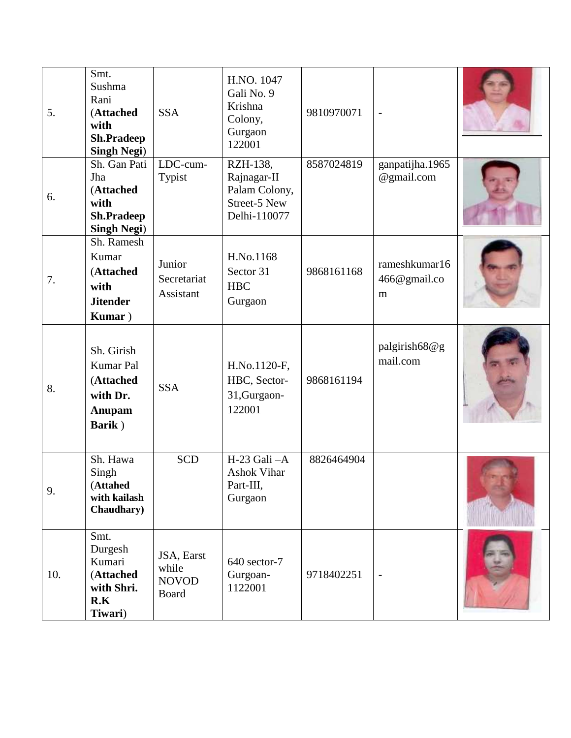| 5.  | Smt.<br>Sushma<br>Rani<br>(Attached<br>with<br><b>Sh.Pradeep</b><br><b>Singh Negi)</b> | <b>SSA</b>                                          | H.NO. 1047<br>Gali No. 9<br>Krishna<br>Colony,<br>Gurgaon<br>122001             | 9810970071 | $\overline{a}$                     |  |
|-----|----------------------------------------------------------------------------------------|-----------------------------------------------------|---------------------------------------------------------------------------------|------------|------------------------------------|--|
| 6.  | Sh. Gan Pati<br>Jha<br>(Attached<br>with<br><b>Sh.Pradeep</b><br><b>Singh Negi)</b>    | LDC-cum-<br>Typist                                  | RZH-138,<br>Rajnagar-II<br>Palam Colony,<br><b>Street-5 New</b><br>Delhi-110077 | 8587024819 | ganpatijha.1965<br>@gmail.com      |  |
| 7.  | Sh. Ramesh<br>Kumar<br>(Attached<br>with<br><b>Jitender</b><br>Kumar)                  | Junior<br>Secretariat<br>Assistant                  | H.No.1168<br>Sector 31<br><b>HBC</b><br>Gurgaon                                 | 9868161168 | rameshkumar16<br>466@gmail.co<br>m |  |
| 8.  | Sh. Girish<br><b>Kumar Pal</b><br>(Attached<br>with Dr.<br>Anupam<br>Barik)            | <b>SSA</b>                                          | H.No.1120-F,<br>HBC, Sector-<br>31, Gurgaon-<br>122001                          | 9868161194 | palgirish68@g<br>mail.com          |  |
| 9.  | Sh. Hawa<br>Singh<br>(Attahed<br>with kailash<br><b>Chaudhary</b> )                    | <b>SCD</b>                                          | H-23 Gali -A<br><b>Ashok Vihar</b><br>Part-III,<br>Gurgaon                      | 8826464904 |                                    |  |
| 10. | Smt.<br>Durgesh<br>Kumari<br>(Attached<br>with Shri.<br>R.K<br>Tiwari)                 | JSA, Earst<br>while<br><b>NOVOD</b><br><b>Board</b> | 640 sector-7<br>Gurgoan-<br>1122001                                             | 9718402251 |                                    |  |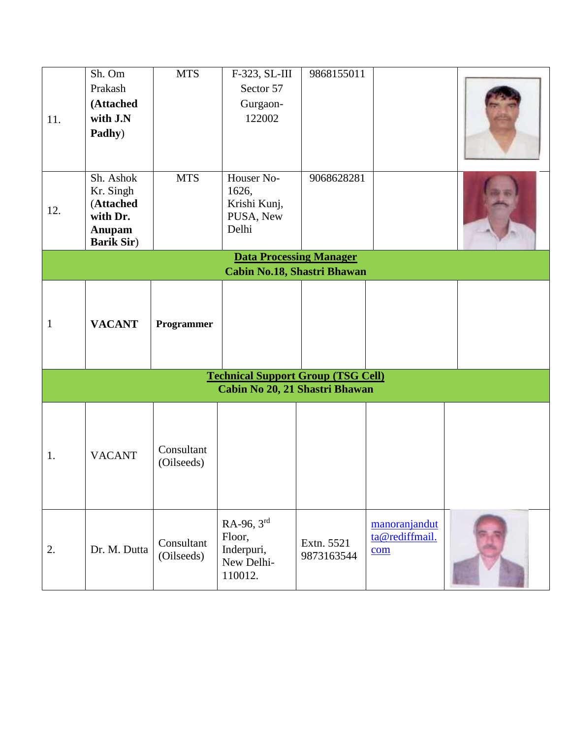|              | Sh. Om                      | <b>MTS</b> | F-323, SL-III                                                               | 9868155011 |                |  |
|--------------|-----------------------------|------------|-----------------------------------------------------------------------------|------------|----------------|--|
|              | Prakash                     |            | Sector 57                                                                   |            |                |  |
|              | (Attached                   |            | Gurgaon-                                                                    |            |                |  |
| 11.          | with J.N                    |            | 122002                                                                      |            |                |  |
|              | Padhy)                      |            |                                                                             |            |                |  |
|              |                             |            |                                                                             |            |                |  |
|              | Sh. Ashok                   | <b>MTS</b> | Houser No-                                                                  | 9068628281 |                |  |
|              | Kr. Singh                   |            | 1626,                                                                       |            |                |  |
| 12.          | (Attached                   |            | Krishi Kunj,                                                                |            |                |  |
|              | with Dr.                    |            | PUSA, New                                                                   |            |                |  |
|              | Anupam<br><b>Barik Sir)</b> |            | Delhi                                                                       |            |                |  |
|              |                             |            | <b>Data Processing Manager</b>                                              |            |                |  |
|              |                             |            | <b>Cabin No.18, Shastri Bhawan</b>                                          |            |                |  |
|              |                             |            |                                                                             |            |                |  |
|              |                             |            |                                                                             |            |                |  |
| $\mathbf{1}$ | <b>VACANT</b>               | Programmer |                                                                             |            |                |  |
|              |                             |            |                                                                             |            |                |  |
|              |                             |            |                                                                             |            |                |  |
|              |                             |            |                                                                             |            |                |  |
|              |                             |            | <b>Technical Support Group (TSG Cell)</b><br>Cabin No 20, 21 Shastri Bhawan |            |                |  |
|              |                             |            |                                                                             |            |                |  |
|              |                             |            |                                                                             |            |                |  |
|              |                             |            |                                                                             |            |                |  |
|              |                             | Consultant |                                                                             |            |                |  |
| 1.           | <b>VACANT</b>               | (Oilseeds) |                                                                             |            |                |  |
|              |                             |            |                                                                             |            |                |  |
|              |                             |            |                                                                             |            |                |  |
|              |                             |            |                                                                             |            |                |  |
|              |                             |            | RA-96, 3rd                                                                  |            | manoranjandut  |  |
|              |                             | Consultant | Floor,                                                                      | Extn. 5521 | ta@rediffmail. |  |
| 2.           | Dr. M. Dutta                | (Oilseeds) | Inderpuri,                                                                  | 9873163544 | com            |  |
|              |                             |            | New Delhi-<br>110012.                                                       |            |                |  |
|              |                             |            |                                                                             |            |                |  |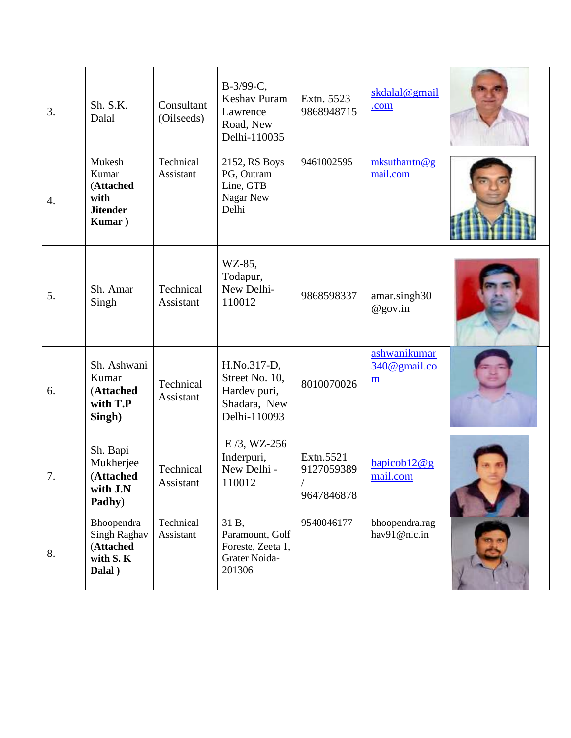| 3. | Sh. S.K.<br>Dalal                                                 | Consultant<br>(Oilseeds) | B-3/99-C,<br><b>Keshav Puram</b><br>Lawrence<br>Road, New<br>Delhi-110035     | Extn. 5523<br>9868948715              | skdalal@gmail<br>.com                           |  |
|----|-------------------------------------------------------------------|--------------------------|-------------------------------------------------------------------------------|---------------------------------------|-------------------------------------------------|--|
| 4. | Mukesh<br>Kumar<br>(Attached<br>with<br><b>Jitender</b><br>Kumar) | Technical<br>Assistant   | 2152, RS Boys<br>PG, Outram<br>Line, GTB<br>Nagar New<br>Delhi                | 9461002595                            | mksutharrtn@g<br>mail.com                       |  |
| 5. | Sh. Amar<br>Singh                                                 | Technical<br>Assistant   | WZ-85,<br>Todapur,<br>New Delhi-<br>110012                                    | 9868598337                            | amar.singh30<br>$@$ gov.in                      |  |
| 6. | Sh. Ashwani<br>Kumar<br>(Attached<br>with T.P<br>Singh)           | Technical<br>Assistant   | H.No.317-D,<br>Street No. 10,<br>Hardev puri,<br>Shadara, New<br>Delhi-110093 | 8010070026                            | ashwanikumar<br>340@gmail.co<br>$\underline{m}$ |  |
| 7. | Sh. Bapi<br>Mukherjee<br>(Attached<br>with J.N<br>Padhy)          | Technical<br>Assistant   | $E/3$ , WZ-256<br>Inderpuri,<br>New Delhi -<br>110012                         | Extn.5521<br>9127059389<br>9647846878 | bapicob12@g<br>mail.com                         |  |
| 8. | Bhoopendra<br>Singh Raghav<br>(Attached<br>with S.K<br>Dalal)     | Technical<br>Assistant   | 31 B,<br>Paramount, Golf<br>Foreste, Zeeta 1,<br>Grater Noida-<br>201306      | 9540046177                            | bhoopendra.rag<br>hav91@nic.in                  |  |